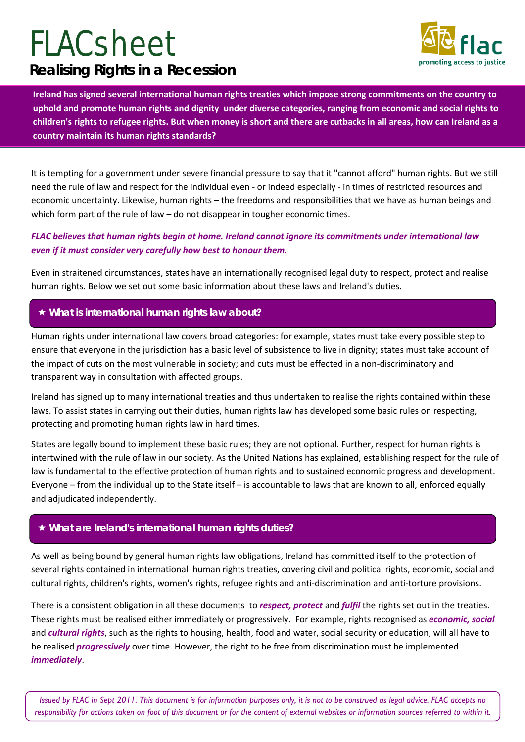# **Realising Rights in a Recession FLACsheet**



**Ireland has signed several international human rights treaties which impose strong commitments on the country to uphold and promote human rights and dignity under diverse categories, ranging from economic and social rights to children's rights to refugee rights. But when money is short and there are cutbacks in all areas, how can Ireland as a country maintain its human rights standards?** 

It is tempting for a government under severe financial pressure to say that it "cannot afford" human rights. But we still need the rule of law and respect for the individual even - or indeed especially - in times of restricted resources and economic uncertainty. Likewise, human rights – the freedoms and responsibilities that we have as human beings and which form part of the rule of law – do not disappear in tougher economic times.

### *FLAC believes that human rights begin at home. Ireland cannot ignore its commitments under international law even if it must consider very carefully how best to honour them.*

Even in straitened circumstances, states have an internationally recognised legal duty to respect, protect and realise human rights. Below we set out some basic information about these laws and Ireland's duties.

## **What is international human rights law about?**

Human rights under international law covers broad categories: for example, states must take every possible step to ensure that everyone in the jurisdiction has a basic level of subsistence to live in dignity; states must take account of the impact of cuts on the most vulnerable in society; and cuts must be effected in a non-discriminatory and transparent way in consultation with affected groups.

Ireland has signed up to many international treaties and thus undertaken to realise the rights contained within these laws. To assist states in carrying out their duties, human rights law has developed some basic rules on respecting, protecting and promoting human rights law in hard times.

States are legally bound to implement these basic rules; they are not optional. Further, respect for human rights is intertwined with the rule of law in our society. As the United Nations has explained, establishing respect for the rule of law is fundamental to the effective protection of human rights and to sustained economic progress and development. Everyone – from the individual up to the State itself – is accountable to laws that are known to all, enforced equally and adjudicated independently.

#### **What are Ireland's international human rights duties?**

As well as being bound by general human rights law obligations, Ireland has committed itself to the protection of several rights contained in international human rights treaties, covering civil and political rights, economic, social and cultural rights, children's rights, women's rights, refugee rights and anti-discrimination and anti-torture provisions.

There is a consistent obligation in all these documents to *respect, protect* and *fulfil* the rights set out in the treaties. These rights must be realised either immediately or progressively. For example, rights recognised as *economic, social* and *cultural rights*, such as the rights to housing, health, food and water, social security or education, will all have to be realised *progressively* over time. However, the right to be free from discrimination must be implemented *immediately*.

*Issued by FLAC in Sept 2011. This document is for information purposes only, it is not to be construed as legal advice. FLAC accepts no responsibility for actions taken on foot of this document or for the content of external websites or information sources referred to within it.*